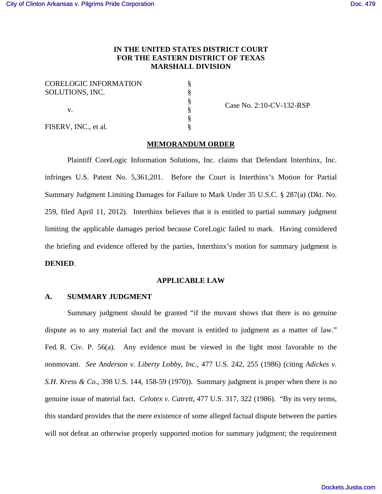FISERV, INC., et al.

# **IN THE UNITED STATES DISTRICT COURT FOR THE EASTERN DISTRICT OF TEXAS MARSHALL DIVISION**

§ § § § § §

| <b>CORELOGIC INFORMATION</b> |  |
|------------------------------|--|
| SOLUTIONS, INC.              |  |
|                              |  |
| V.                           |  |
|                              |  |

Case No. 2:10-CV-132-RSP

## **MEMORANDUM ORDER**

Plaintiff CoreLogic Information Solutions, Inc. claims that Defendant Interthinx, Inc. infringes U.S. Patent No. 5,361,201. Before the Court is Interthinx's Motion for Partial Summary Judgment Limiting Damages for Failure to Mark Under 35 U.S.C. § 287(a) (Dkt. No. 259, filed April 11, 2012). Interthinx believes that it is entitled to partial summary judgment limiting the applicable damages period because CoreLogic failed to mark. Having considered the briefing and evidence offered by the parties, Interthinx's motion for summary judgment is **DENIED**.

### **APPLICABLE LAW**

### **A. SUMMARY JUDGMENT**

Summary judgment should be granted "if the movant shows that there is no genuine dispute as to any material fact and the movant is entitled to judgment as a matter of law." Fed. R. Civ. P. 56(a). Any evidence must be viewed in the light most favorable to the nonmovant. *See Anderson v. Liberty Lobby, Inc.*, 477 U.S. 242, 255 (1986) (citing *Adickes v. S.H. Kress & Co.*, 398 U.S. 144, 158-59 (1970)). Summary judgment is proper when there is no genuine issue of material fact. *Celotex v. Catrett*, 477 U.S. 317, 322 (1986). "By its very terms, this standard provides that the mere existence of some alleged factual dispute between the parties will not defeat an otherwise properly supported motion for summary judgment; the requirement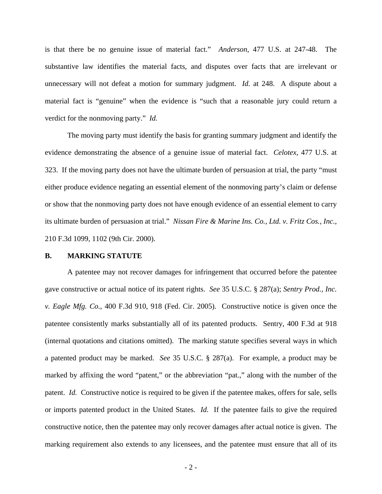is that there be no genuine issue of material fact." *Anderson*, 477 U.S. at 247-48. The substantive law identifies the material facts, and disputes over facts that are irrelevant or unnecessary will not defeat a motion for summary judgment. *Id.* at 248. A dispute about a material fact is "genuine" when the evidence is "such that a reasonable jury could return a verdict for the nonmoving party." *Id.*

The moving party must identify the basis for granting summary judgment and identify the evidence demonstrating the absence of a genuine issue of material fact. *Celotex*, 477 U.S. at 323. If the moving party does not have the ultimate burden of persuasion at trial, the party "must either produce evidence negating an essential element of the nonmoving party's claim or defense or show that the nonmoving party does not have enough evidence of an essential element to carry its ultimate burden of persuasion at trial." *Nissan Fire & Marine Ins. Co., Ltd. v. Fritz Cos., Inc.*, 210 F.3d 1099, 1102 (9th Cir. 2000).

#### **B. MARKING STATUTE**

A patentee may not recover damages for infringement that occurred before the patentee gave constructive or actual notice of its patent rights. *See* 35 U.S.C. § 287(a); *Sentry Prod., Inc. v. Eagle Mfg. Co.*, 400 F.3d 910, 918 (Fed. Cir. 2005). Constructive notice is given once the patentee consistently marks substantially all of its patented products. Sentry, 400 F.3d at 918 (internal quotations and citations omitted). The marking statute specifies several ways in which a patented product may be marked. *See* 35 U.S.C. § 287(a). For example, a product may be marked by affixing the word "patent," or the abbreviation "pat.," along with the number of the patent. *Id.* Constructive notice is required to be given if the patentee makes, offers for sale, sells or imports patented product in the United States. *Id.* If the patentee fails to give the required constructive notice, then the patentee may only recover damages after actual notice is given. The marking requirement also extends to any licensees, and the patentee must ensure that all of its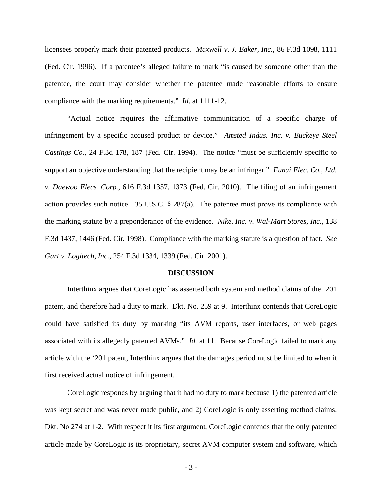licensees properly mark their patented products. *Maxwell v. J. Baker, Inc.*, 86 F.3d 1098, 1111 (Fed. Cir. 1996). If a patentee's alleged failure to mark "is caused by someone other than the patentee, the court may consider whether the patentee made reasonable efforts to ensure compliance with the marking requirements." *Id*. at 1111-12.

"Actual notice requires the affirmative communication of a specific charge of infringement by a specific accused product or device." *Amsted Indus. Inc. v. Buckeye Steel Castings Co.*, 24 F.3d 178, 187 (Fed. Cir. 1994). The notice "must be sufficiently specific to support an objective understanding that the recipient may be an infringer." *Funai Elec. Co., Ltd. v. Daewoo Elecs. Corp.*, 616 F.3d 1357, 1373 (Fed. Cir. 2010). The filing of an infringement action provides such notice. 35 U.S.C. § 287(a). The patentee must prove its compliance with the marking statute by a preponderance of the evidence. *Nike, Inc. v. Wal-Mart Stores, Inc.*, 138 F.3d 1437, 1446 (Fed. Cir. 1998). Compliance with the marking statute is a question of fact. *See Gart v. Logitech, Inc.*, 254 F.3d 1334, 1339 (Fed. Cir. 2001).

#### **DISCUSSION**

Interthinx argues that CoreLogic has asserted both system and method claims of the '201 patent, and therefore had a duty to mark. Dkt. No. 259 at 9. Interthinx contends that CoreLogic could have satisfied its duty by marking "its AVM reports, user interfaces, or web pages associated with its allegedly patented AVMs." *Id.* at 11. Because CoreLogic failed to mark any article with the '201 patent, Interthinx argues that the damages period must be limited to when it first received actual notice of infringement.

CoreLogic responds by arguing that it had no duty to mark because 1) the patented article was kept secret and was never made public, and 2) CoreLogic is only asserting method claims. Dkt. No 274 at 1-2. With respect it its first argument, CoreLogic contends that the only patented article made by CoreLogic is its proprietary, secret AVM computer system and software, which